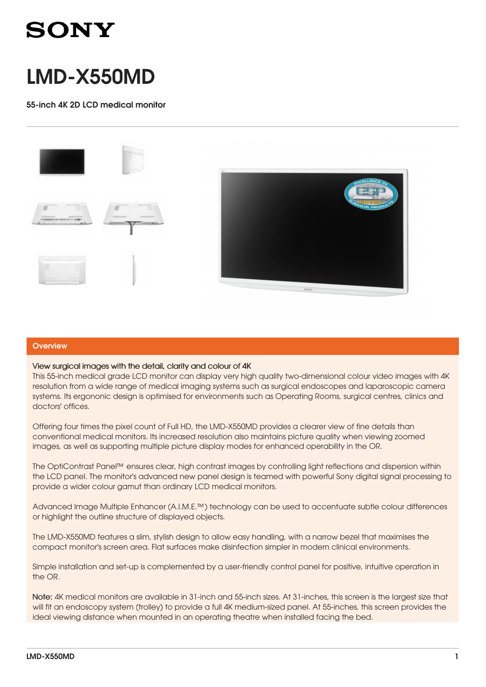

# LMD-X550MD

55-inch 4K 2D LCD medical monitor



### **Overview**

### View surgical images with the detail, clarity and colour of 4K

This 55-inch medical grade LCD monitor can display very high quality two-dimensional colour video images with 4K resolution from a wide range of medical imaging systems such as surgical endoscopes and laparoscopic camera systems. Its ergononic design is optimised for environments such as Operating Rooms, surgical centres, clinics and doctors' offices.

Offering four times the pixel count of Full HD, the LMD-X550MD provides a clearer view of fine details than conventional medical monitors. Its increased resolution also maintains picture quality when viewing zoomed images, as well as supporting multiple picture display modes for enhanced operability in the OR.

The OptiContrast Panel™ ensures clear, high contrast images by controlling light reflections and dispersion within the LCD panel. The monitor's advanced new panel design is teamed with powerful Sony digital signal processing to provide a wider colour gamut than ordinary LCD medical monitors.

Advanced Image Multiple Enhancer (A.I.M.E.™) technology can be used to accentuate subtle colour differences or highlight the outline structure of displayed objects.

The LMD-X550MD features a slim, stylish design to allow easy handling, with a narrow bezel that maximises the compact monitor's screen area. Flat surfaces make disinfection simpler in modern clinical environments.

Simple installation and set-up is complemented by a user-friendly control panel for positive, intuitive operation in the OR.

Note: 4K medical monitors are available in 31-inch and 55-inch sizes. At 31-inches, this screen is the largest size that will fit an endoscopy system (trolley) to provide a full 4K medium-sized panel. At 55-inches, this screen provides the ideal viewing distance when mounted in an operating theatre when installed facing the bed.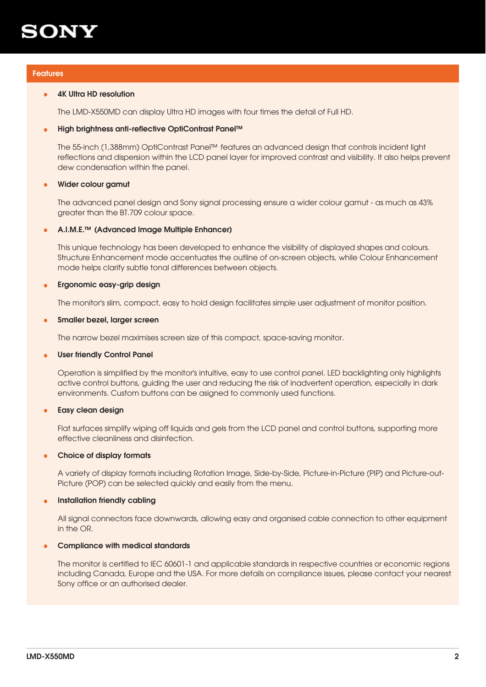

### Features

#### 4K Ultra HD resolution •

The LMD-X550MD can display Ultra HD images with four times the detail of Full HD.

#### High brightness anti-reflective OptiContrast Panel™ •

The 55-inch (1,388mm) OptiContrast Panel™ features an advanced design that controls incident light reflections and dispersion within the LCD panel layer for improved contrast and visibility. It also helps prevent dew condensation within the panel.

#### Wider colour gamut •

The advanced panel design and Sony signal processing ensure a wider colour gamut - as much as 43% greater than the BT.709 colour space.

#### A.I.M.E.™ (Advanced Image Multiple Enhancer) •

This unique technology has been developed to enhance the visibility of displayed shapes and colours. Structure Enhancement mode accentuates the outline of on-screen objects, while Colour Enhancement mode helps clarify subtle tonal differences between objects.

#### Ergonomic easy-grip design •

The monitor's slim, compact, easy to hold design facilitates simple user adjustment of monitor position.

#### Smaller bezel, larger screen •

The narrow bezel maximises screen size of this compact, space-saving monitor.

#### User friendly Control Panel •

Operation is simplified by the monitor's intuitive, easy to use control panel. LED backlighting only highlights active control buttons, guiding the user and reducing the risk of inadvertent operation, especially in dark environments. Custom buttons can be asigned to commonly used functions.

#### Easy clean design •

Flat surfaces simplify wiping off liquids and gels from the LCD panel and control buttons, supporting more effective cleanliness and disinfection.

#### Choice of display formats •

A variety of display formats including Rotation Image, Side-by-Side, Picture-in-Picture (PIP) and Picture-out-Picture (POP) can be selected quickly and easily from the menu.

#### Installation friendly cabling •

All signal connectors face downwards, allowing easy and organised cable connection to other equipment in the OR.

#### Compliance with medical standards •

The monitor is certified to IEC 60601-1 and applicable standards in respective countries or economic regions including Canada, Europe and the USA. For more details on compliance issues, please contact your nearest Sony office or an authorised dealer.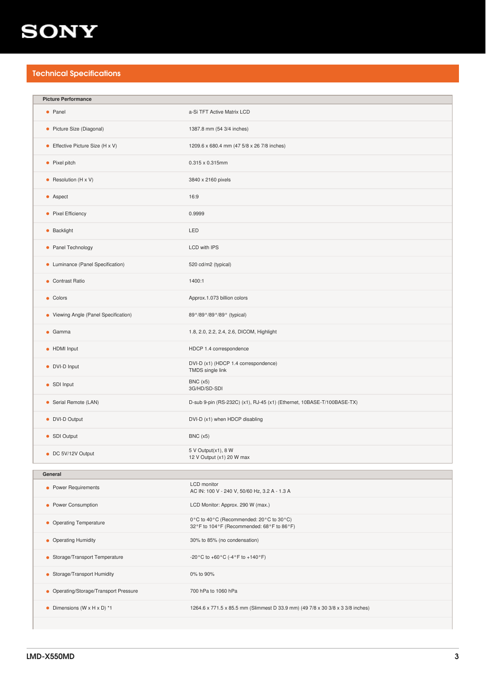## **SONY**

## Technical Specifications

| <b>Picture Performance</b>                  |                                                                                      |
|---------------------------------------------|--------------------------------------------------------------------------------------|
| • Panel                                     | a-Si TFT Active Matrix LCD                                                           |
| • Picture Size (Diagonal)                   | 1387.8 mm (54 3/4 inches)                                                            |
| • Effective Picture Size $(H \times V)$     | 1209.6 x 680.4 mm (47 5/8 x 26 7/8 inches)                                           |
| • Pixel pitch                               | 0.315 x 0.315mm                                                                      |
| • Resolution $(H \times V)$                 | 3840 x 2160 pixels                                                                   |
| • Aspect                                    | 16:9                                                                                 |
| • Pixel Efficiency                          | 0.9999                                                                               |
| • Backlight                                 | LED                                                                                  |
| • Panel Technology                          | <b>LCD with IPS</b>                                                                  |
| • Luminance (Panel Specification)           | 520 cd/m2 (typical)                                                                  |
| • Contrast Ratio                            | 1400:1                                                                               |
| • Colors                                    | Approx.1.073 billion colors                                                          |
| • Viewing Angle (Panel Specification)       | 89°/89°/89°/89° (typical)                                                            |
| $\bullet$ Gamma                             | 1.8, 2.0, 2.2, 2.4, 2.6, DICOM, Highlight                                            |
| • HDMI Input                                | HDCP 1.4 correspondence                                                              |
| • DVI-D Input                               | DVI-D (x1) (HDCP 1.4 correspondence)<br>TMDS single link                             |
| • SDI Input                                 | BNC(x5)<br>3G/HD/SD-SDI                                                              |
| • Serial Remote (LAN)                       | D-sub 9-pin (RS-232C) (x1), RJ-45 (x1) (Ethernet, 10BASE-T/100BASE-TX)               |
| • DVI-D Output                              | DVI-D (x1) when HDCP disabling                                                       |
| • SDI Output                                | BNC(x5)                                                                              |
| • DC 5V/12V Output                          | 5 V Output(x1), 8 W<br>12 V Output (x1) 20 W max                                     |
| General                                     |                                                                                      |
|                                             | <b>LCD</b> monitor                                                                   |
| • Power Requirements                        | AC IN: 100 V - 240 V, 50/60 Hz, 3.2 A - 1.3 A                                        |
| • Power Consumption                         | LCD Monitor: Approx. 290 W (max.)                                                    |
| • Operating Temperature                     | 0°C to 40°C (Recommended: 20°C to 30°C)<br>32°F to 104°F (Recommended: 68°F to 86°F) |
| • Operating Humidity                        | 30% to 85% (no condensation)                                                         |
| • Storage/Transport Temperature             | -20 °C to +60 °C (-4 °F to +140 °F)                                                  |
| • Storage/Transport Humidity                | 0% to 90%                                                                            |
| • Operating/Storage/Transport Pressure      | 700 hPa to 1060 hPa                                                                  |
| • Dimensions (W $\times$ H $\times$ D) $*1$ | 1264.6 x 771.5 x 85.5 mm (Slimmest D 33.9 mm) (49 7/8 x 30 3/8 x 3 3/8 inches)       |
|                                             |                                                                                      |